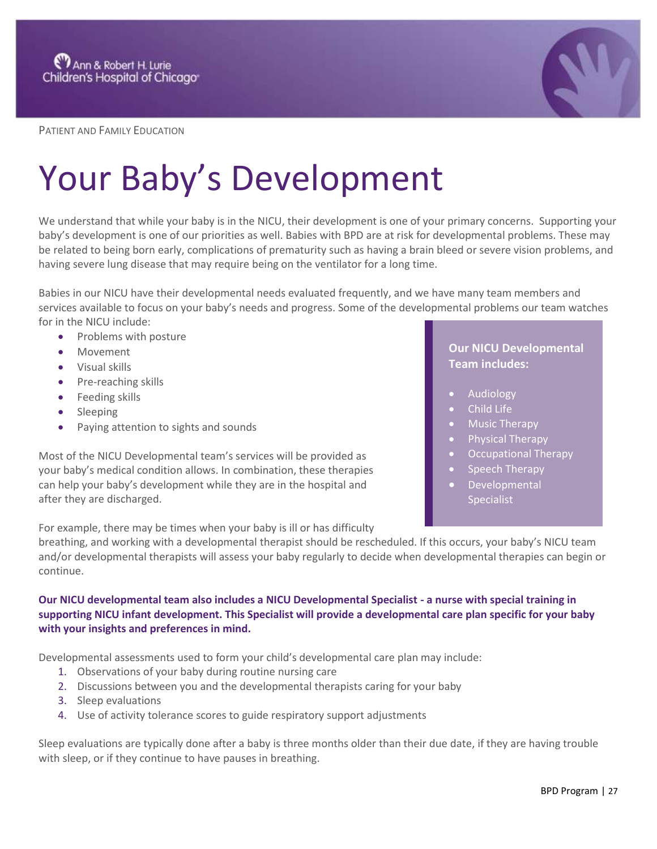

PATIENT AND FAMILY EDUCATION

# Your Baby's Development

We understand that while your baby is in the NICU, their development is one of your primary concerns.  Supporting your baby's development is one of our priorities as well. Babies with BPD are at risk for developmental problems. These may be related to being born early, complications of prematurity such as having a brain bleed or severe vision problems, and having severe lung disease that may require being on the ventilator for a long time.

Babies in our NICU have their developmental needs evaluated frequently, and we have many team members and services available to focus on your baby's needs and progress. Some of the developmental problems our team watches for in the NICU include:

- Problems with posture
- Movement
- Visual skills
- Pre-reaching skills
- Feeding skills
- Sleeping
- Paying attention to sights and sounds

Most of the NICU Developmental team's services will be provided as your baby's medical condition allows. In combination, these therapies can help your baby's development while they are in the hospital and after they are discharged.

For example, there may be times when your baby is ill or has difficulty

## **Our NICU Developmental Team includes:**

- **Audiology**
- Child Life
- Music Therapy
- Physical Therapy
- Occupational Therapy
- Speech Therapy
- **Developmental** Specialist

breathing, and working with a developmental therapist should be rescheduled. If this occurs, your baby's NICU team and/or developmental therapists will assess your baby regularly to decide when developmental therapies can begin or continue.

### **Our NICU developmental team also includes a NICU Developmental Specialist - a nurse with special training in supporting NICU infant development. This Specialist will provide a developmental care plan specific for your baby with your insights and preferences in mind.**

Developmental assessments used to form your child's developmental care plan may include:

- 1. Observations of your baby during routine nursing care
- 2. Discussions between you and the developmental therapists caring for your baby
- 3. Sleep evaluations
- 4. Use of activity tolerance scores to guide respiratory support adjustments

Sleep evaluations are typically done after a baby is three months older than their due date, if they are having trouble with sleep, or if they continue to have pauses in breathing.